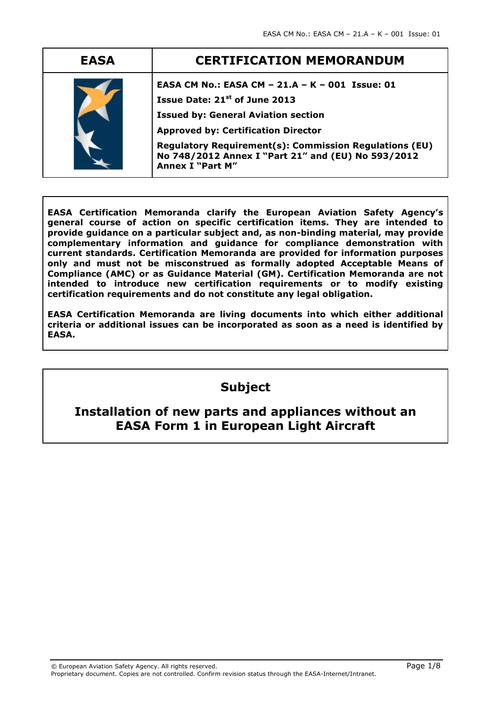| <b>EASA</b> | <b>CERTIFICATION MEMORANDUM</b>                                                                                                                                                                                                                                                                                                            |  |  |
|-------------|--------------------------------------------------------------------------------------------------------------------------------------------------------------------------------------------------------------------------------------------------------------------------------------------------------------------------------------------|--|--|
|             | EASA CM No.: EASA CM - 21.A - K - 001 Issue: 01<br>Issue Date: 21 <sup>st</sup> of June 2013<br><b>Issued by: General Aviation section</b><br><b>Approved by: Certification Director</b><br><b>Regulatory Requirement(s): Commission Regulations (EU)</b><br>No 748/2012 Annex I "Part 21" and (EU) No 593/2012<br><b>Annex I "Part M"</b> |  |  |

**EASA Certification Memoranda clarify the European Aviation Safety Agency's general course of action on specific certification items. They are intended to provide guidance on a particular subject and, as non-binding material, may provide complementary information and guidance for compliance demonstration with current standards. Certification Memoranda are provided for information purposes only and must not be misconstrued as formally adopted Acceptable Means of Compliance (AMC) or as Guidance Material (GM). Certification Memoranda are not intended to introduce new certification requirements or to modify existing certification requirements and do not constitute any legal obligation.**

**EASA Certification Memoranda are living documents into which either additional criteria or additional issues can be incorporated as soon as a need is identified by EASA.**

# **Subject**

# **Installation of new parts and appliances without an EASA Form 1 in European Light Aircraft**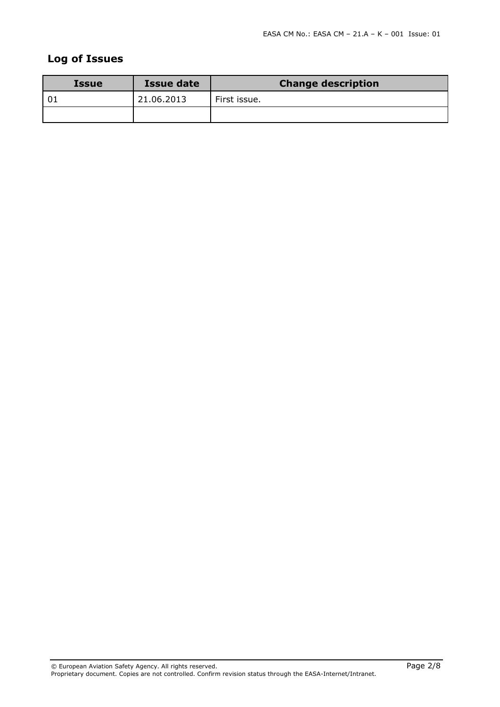# **Log of Issues**

| <b>Issue</b> | Issue date | <b>Change description</b> |  |  |
|--------------|------------|---------------------------|--|--|
| l 01         | 21.06.2013 | First issue.              |  |  |
|              |            |                           |  |  |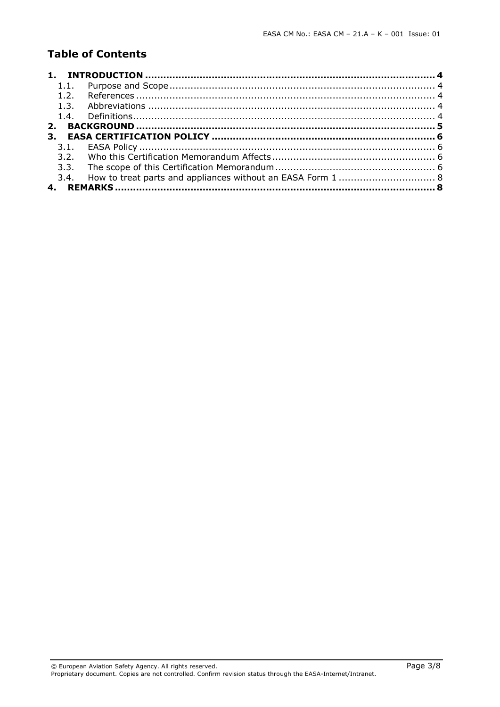## **Table of Contents**

| 1.1. |                                                                  |  |
|------|------------------------------------------------------------------|--|
| 12   |                                                                  |  |
| 1.3. |                                                                  |  |
|      |                                                                  |  |
|      |                                                                  |  |
| 3.   |                                                                  |  |
|      |                                                                  |  |
|      |                                                                  |  |
| 3.3. |                                                                  |  |
|      | 3.4. How to treat parts and appliances without an EASA Form 1  8 |  |
|      |                                                                  |  |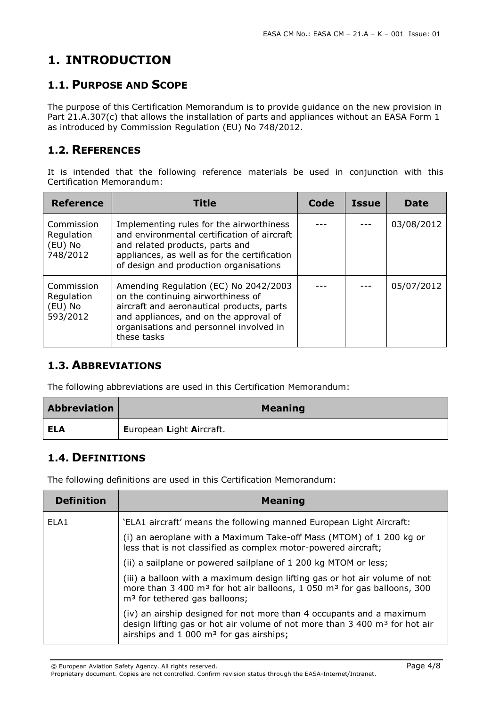# <span id="page-3-0"></span>**1. INTRODUCTION**

## <span id="page-3-1"></span>**1.1. PURPOSE AND SCOPE**

The purpose of this Certification Memorandum is to provide guidance on the new provision in Part 21.A.307(c) that allows the installation of parts and appliances without an EASA Form 1 as introduced by Commission Regulation (EU) No 748/2012.

### <span id="page-3-2"></span>**1.2. REFERENCES**

It is intended that the following reference materials be used in conjunction with this Certification Memorandum:

| <b>Reference</b>                                | <b>Title</b>                                                                                                                                                                                                                 | Code | <b>Issue</b> | <b>Date</b> |
|-------------------------------------------------|------------------------------------------------------------------------------------------------------------------------------------------------------------------------------------------------------------------------------|------|--------------|-------------|
| Commission<br>Regulation<br>(EU) No<br>748/2012 | Implementing rules for the airworthiness<br>and environmental certification of aircraft<br>and related products, parts and<br>appliances, as well as for the certification<br>of design and production organisations         |      |              | 03/08/2012  |
| Commission<br>Regulation<br>(EU) No<br>593/2012 | Amending Regulation (EC) No 2042/2003<br>on the continuing airworthiness of<br>aircraft and aeronautical products, parts<br>and appliances, and on the approval of<br>organisations and personnel involved in<br>these tasks |      |              | 05/07/2012  |

# <span id="page-3-3"></span>**1.3. ABBREVIATIONS**

The following abbreviations are used in this Certification Memorandum:

| <b>Abbreviation</b> | <b>Meaning</b>           |
|---------------------|--------------------------|
| ELA                 | European Light Aircraft. |

### <span id="page-3-4"></span>**1.4. DEFINITIONS**

The following definitions are used in this Certification Memorandum:

| <b>Definition</b> | <b>Meaning</b>                                                                                                                                                                                                             |
|-------------------|----------------------------------------------------------------------------------------------------------------------------------------------------------------------------------------------------------------------------|
| ELA <sub>1</sub>  | 'ELA1 aircraft' means the following manned European Light Aircraft:                                                                                                                                                        |
|                   | (i) an aeroplane with a Maximum Take-off Mass (MTOM) of 1 200 kg or<br>less that is not classified as complex motor-powered aircraft;                                                                                      |
|                   | (ii) a sailplane or powered sailplane of 1 200 kg MTOM or less;                                                                                                                                                            |
|                   | (iii) a balloon with a maximum design lifting gas or hot air volume of not<br>more than 3 400 m <sup>3</sup> for hot air balloons, 1 050 m <sup>3</sup> for gas balloons, 300<br>m <sup>3</sup> for tethered gas balloons; |
|                   | (iv) an airship designed for not more than 4 occupants and a maximum<br>design lifting gas or hot air volume of not more than $3\,400\,\mathrm{m}^3$ for hot air<br>airships and $1\,000$ m <sup>3</sup> for gas airships; |

Proprietary document. Copies are not controlled. Confirm revision status through the EASA-Internet/Intranet.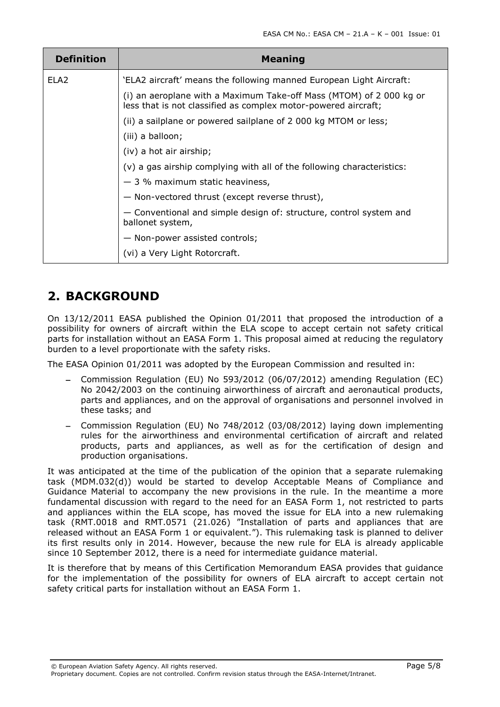| <b>Definition</b> | <b>Meaning</b>                                                                                                                        |  |  |  |
|-------------------|---------------------------------------------------------------------------------------------------------------------------------------|--|--|--|
| ELA <sub>2</sub>  | 'ELA2 aircraft' means the following manned European Light Aircraft:                                                                   |  |  |  |
|                   | (i) an aeroplane with a Maximum Take-off Mass (MTOM) of 2 000 kg or<br>less that is not classified as complex motor-powered aircraft; |  |  |  |
|                   | (ii) a sailplane or powered sailplane of 2 000 kg MTOM or less;                                                                       |  |  |  |
|                   | (iii) a balloon;                                                                                                                      |  |  |  |
|                   | (iv) a hot air airship;                                                                                                               |  |  |  |
|                   | (v) a gas airship complying with all of the following characteristics:                                                                |  |  |  |
|                   | $-3$ % maximum static heaviness,                                                                                                      |  |  |  |
|                   | - Non-vectored thrust (except reverse thrust),                                                                                        |  |  |  |
|                   | - Conventional and simple design of: structure, control system and<br>ballonet system,                                                |  |  |  |
|                   | - Non-power assisted controls;                                                                                                        |  |  |  |
|                   | (vi) a Very Light Rotorcraft.                                                                                                         |  |  |  |

# <span id="page-4-0"></span>**2. BACKGROUND**

On 13/12/2011 EASA published the Opinion 01/2011 that proposed the introduction of a possibility for owners of aircraft within the ELA scope to accept certain not safety critical parts for installation without an EASA Form 1. This proposal aimed at reducing the regulatory burden to a level proportionate with the safety risks.

The EASA Opinion 01/2011 was adopted by the European Commission and resulted in:

- Commission Regulation (EU) No 593/2012 (06/07/2012) amending Regulation (EC) No 2042/2003 on the continuing airworthiness of aircraft and aeronautical products, parts and appliances, and on the approval of organisations and personnel involved in these tasks; and
- Commission Regulation (EU) No 748/2012 (03/08/2012) laying down implementing rules for the airworthiness and environmental certification of aircraft and related products, parts and appliances, as well as for the certification of design and production organisations.

It was anticipated at the time of the publication of the opinion that a separate rulemaking task (MDM.032(d)) would be started to develop Acceptable Means of Compliance and Guidance Material to accompany the new provisions in the rule. In the meantime a more fundamental discussion with regard to the need for an EASA Form 1, not restricted to parts and appliances within the ELA scope, has moved the issue for ELA into a new rulemaking task (RMT.0018 and RMT.0571 (21.026) "Installation of parts and appliances that are released without an EASA Form 1 or equivalent."). This rulemaking task is planned to deliver its first results only in 2014. However, because the new rule for ELA is already applicable since 10 September 2012, there is a need for intermediate guidance material.

It is therefore that by means of this Certification Memorandum EASA provides that guidance for the implementation of the possibility for owners of ELA aircraft to accept certain not safety critical parts for installation without an EASA Form 1.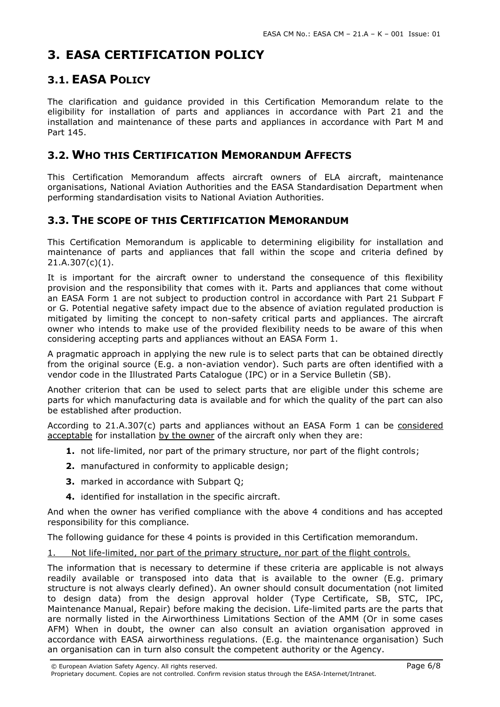# <span id="page-5-0"></span>**3. EASA CERTIFICATION POLICY**

# <span id="page-5-1"></span>**3.1. EASA POLICY**

The clarification and guidance provided in this Certification Memorandum relate to the eligibility for installation of parts and appliances in accordance with Part 21 and the installation and maintenance of these parts and appliances in accordance with Part M and Part 145.

### <span id="page-5-2"></span>**3.2. WHO THIS CERTIFICATION MEMORANDUM AFFECTS**

This Certification Memorandum affects aircraft owners of ELA aircraft, maintenance organisations, National Aviation Authorities and the EASA Standardisation Department when performing standardisation visits to National Aviation Authorities.

## <span id="page-5-3"></span>**3.3. THE SCOPE OF THIS CERTIFICATION MEMORANDUM**

This Certification Memorandum is applicable to determining eligibility for installation and maintenance of parts and appliances that fall within the scope and criteria defined by 21.A.307(c)(1).

It is important for the aircraft owner to understand the consequence of this flexibility provision and the responsibility that comes with it. Parts and appliances that come without an EASA Form 1 are not subject to production control in accordance with Part 21 Subpart F or G. Potential negative safety impact due to the absence of aviation regulated production is mitigated by limiting the concept to non-safety critical parts and appliances. The aircraft owner who intends to make use of the provided flexibility needs to be aware of this when considering accepting parts and appliances without an EASA Form 1.

A pragmatic approach in applying the new rule is to select parts that can be obtained directly from the original source (E.g. a non-aviation vendor). Such parts are often identified with a vendor code in the Illustrated Parts Catalogue (IPC) or in a Service Bulletin (SB).

Another criterion that can be used to select parts that are eligible under this scheme are parts for which manufacturing data is available and for which the quality of the part can also be established after production.

According to 21.A.307(c) parts and appliances without an EASA Form 1 can be considered acceptable for installation by the owner of the aircraft only when they are:

- **1.** not life-limited, nor part of the primary structure, nor part of the flight controls;
- **2.** manufactured in conformity to applicable design;
- **3.** marked in accordance with Subpart Q;
- **4.** identified for installation in the specific aircraft.

And when the owner has verified compliance with the above 4 conditions and has accepted responsibility for this compliance.

The following guidance for these 4 points is provided in this Certification memorandum.

1. Not life-limited, nor part of the primary structure, nor part of the flight controls.

The information that is necessary to determine if these criteria are applicable is not always readily available or transposed into data that is available to the owner (E.g. primary structure is not always clearly defined). An owner should consult documentation (not limited to design data) from the design approval holder (Type Certificate, SB, STC, IPC, Maintenance Manual, Repair) before making the decision. Life-limited parts are the parts that are normally listed in the Airworthiness Limitations Section of the AMM (Or in some cases AFM) When in doubt, the owner can also consult an aviation organisation approved in accordance with EASA airworthiness regulations. (E.g. the maintenance organisation) Such an organisation can in turn also consult the competent authority or the Agency.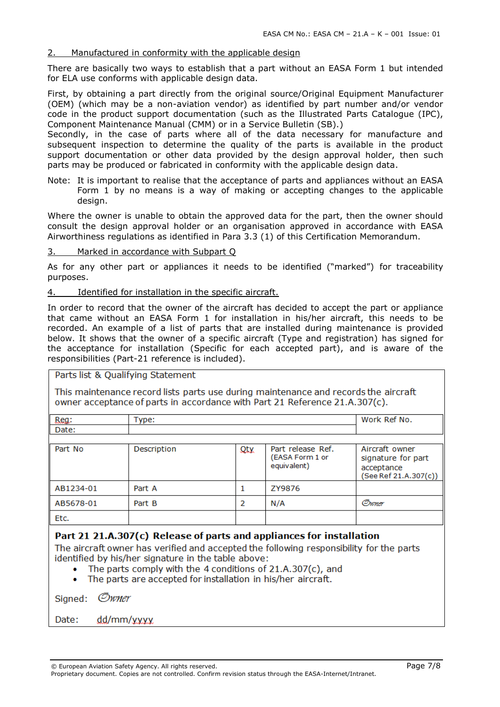#### 2. Manufactured in conformity with the applicable design

There are basically two ways to establish that a part without an EASA Form 1 but intended for ELA use conforms with applicable design data.

First, by obtaining a part directly from the original source/Original Equipment Manufacturer (OEM) (which may be a non-aviation vendor) as identified by part number and/or vendor code in the product support documentation (such as the Illustrated Parts Catalogue (IPC), Component Maintenance Manual (CMM) or in a Service Bulletin (SB).)

Secondly, in the case of parts where all of the data necessary for manufacture and subsequent inspection to determine the quality of the parts is available in the product support documentation or other data provided by the design approval holder, then such parts may be produced or fabricated in conformity with the applicable design data.

Note: It is important to realise that the acceptance of parts and appliances without an EASA Form 1 by no means is a way of making or accepting changes to the applicable design.

Where the owner is unable to obtain the approved data for the part, then the owner should consult the design approval holder or an organisation approved in accordance with EASA Airworthiness regulations as identified in Para 3.3 (1) of this Certification Memorandum.

3. Marked in accordance with Subpart Q

As for any other part or appliances it needs to be identified ("marked") for traceability purposes.

4. Identified for installation in the specific aircraft.

In order to record that the owner of the aircraft has decided to accept the part or appliance that came without an EASA Form 1 for installation in his/her aircraft, this needs to be recorded. An example of a list of parts that are installed during maintenance is provided below. It shows that the owner of a specific aircraft (Type and registration) has signed for the acceptance for installation (Specific for each accepted part), and is aware of the responsibilities (Part-21 reference is included).

Parts list & Qualifying Statement

This maintenance record lists parts use during maintenance and records the aircraft owner acceptance of parts in accordance with Part 21 Reference 21.A.307(c).

| Reg:      | Type:       |     |                                                     | Work Ref No.                                                                |
|-----------|-------------|-----|-----------------------------------------------------|-----------------------------------------------------------------------------|
| Date:     |             |     |                                                     |                                                                             |
|           |             |     |                                                     |                                                                             |
| Part No   | Description | Qty | Part release Ref.<br>(EASA Form 1 or<br>equivalent) | Aircraft owner<br>signature for part<br>acceptance<br>(See Ref 21.A.307(c)) |
| AB1234-01 | Part A      |     | ZY9876                                              |                                                                             |
| AB5678-01 | Part B      | 2   | N/A                                                 | Owner                                                                       |
| Etc.      |             |     |                                                     |                                                                             |

#### Part 21 21.A.307(c) Release of parts and appliances for installation

The aircraft owner has verified and accepted the following responsibility for the parts identified by his/her signature in the table above:

- The parts comply with the 4 conditions of 21.A.307(c), and
- The parts are accepted for installation in his/her aircraft.  $\bullet$

Owner Sianed:

Date: dd/mm/yyyy

Proprietary document. Copies are not controlled. Confirm revision status through the EASA-Internet/Intranet.